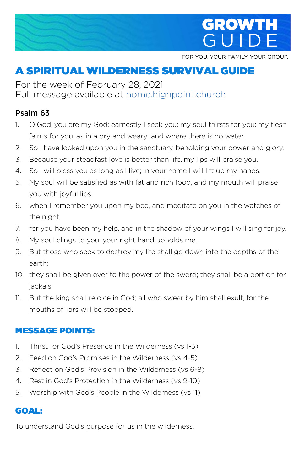

FOR YOU. YOUR FAMILY. YOUR GROUP.

# A SPIRITUAL WILDERNESS SURVIVAL GUIDE

For the week of February 28, 2021 Full message available at **home.highpoint.church** 

#### Psalm 63

- 1. O God, you are my God; earnestly I seek you; my soul thirsts for you; my flesh faints for you, as in a dry and weary land where there is no water.
- 2. So I have looked upon you in the sanctuary, beholding your power and glory.
- 3. Because your steadfast love is better than life, my lips will praise you.
- 4. So I will bless you as long as I live; in your name I will lift up my hands.
- 5. My soul will be satisfied as with fat and rich food, and my mouth will praise you with joyful lips,
- 6. when I remember you upon my bed, and meditate on you in the watches of the night;
- 7. for you have been my help, and in the shadow of your wings I will sing for joy.
- 8. My soul clings to you; your right hand upholds me.
- 9. But those who seek to destroy my life shall go down into the depths of the earth;
- 10. they shall be given over to the power of the sword; they shall be a portion for jackals.
- 11. But the king shall rejoice in God; all who swear by him shall exult, for the mouths of liars will be stopped.

#### MESSAGE POINTS:

- 1. Thirst for God's Presence in the Wilderness (vs 1-3)
- 2. Feed on God's Promises in the Wilderness (vs 4-5)
- 3. Reflect on God's Provision in the Wilderness (vs 6-8)
- 4. Rest in God's Protection in the Wilderness (vs 9-10)
- 5. Worship with God's People in the Wilderness (vs 11)

### GOAL:

To understand God's purpose for us in the wilderness.